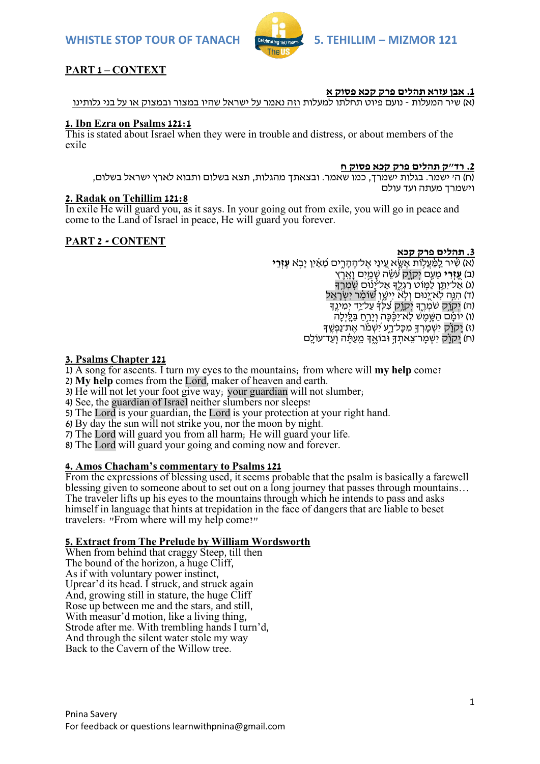

# **PART 1 – CONTEXT**

#### **.1 אבן עזרא תהלים פרק קכא פסוק א**

)א( שיר המעלות - נועם פיוט תחלתו למעלות וזה נאמר על ישראל שהיו במצור ובמצוק או על בני גלותינו

### **1. Ibn Ezra on Psalms 121:1**

This is stated about Israel when they were in trouble and distress, or about members of the exile

#### **.2 רד"ק תהלים פרק קכא פסוק ח**

)ח( ה' ישמר. בגלות ישמרך, כמו שאמר. ובצאתך מהגלות, תצא בשלום ותבוא לארץ ישראל בשלום, וישמרך מעתה ועד עולם

## **2. Radak on Tehillim 121:8**

In exile He will guard you, as it says. In your going out from exile, you will go in peace and come to the Land of Israel in peace, He will guard you forever.

### **PART 2 - CONTENT**

### **.3 תהלים פרק קכא**

)א( שִִׁ֗ יר לַ ַֽ מַַּ֫ עֲל֥ ֹות אֶ שָ ָּׂ֣ א ע ֵ֭ ינַי אֶ ל־הֶ הָ רִ ִ֑ ים מ ֵ֝ אִַׁ֗ יִן יָב ֥ א **עֶ זְ ר ִֽ י (ב) עזרי** מעם יִקוֹק עַשׂה שמים וארץ) (ג) אַל־יִתֵּן לַמְּוֹט רַגְלֵךָ אַל־יַנוֹּם שִׂמְרֵךָ (ד) הִגְּה לְאֹיָנוּם וְלָאْ יִישֶׁן שַׁוֹמֵר יִשְׂרָאֵל (ה) יִקְוָק שמְרֵךְ יִקְוָק צִִלְּדָ עַל־יַד יִמִינֵד )ו( יֹומִָׁ֗ ם הַ שֶ ֥ מֶ ש ל ַֽ א־יַכִֶׁ֗ כָה וְ יָר ֥חַ בַ לָ ַֽ יְלָה (ז) יִקְוָ֫ק יִשְמַרְךָ מְכָּל־רֵע יִשְׁמֹר אֶת־נַפְשֵׁך ְוֹח) יְקוֹק יִשְׁמַר־צֵאתִךְ וּבוֹאֵךְ מֵעֲתֵּ֫ה וְעַד־עוֹלֵם

### **3. Psalms Chapter 121**

1) A song for ascents. I turn my eyes to the mountains; from where will **my help** come?

2) **My help** comes from the Lord, maker of heaven and earth.

3) He will not let your foot give way; your guardian will not slumber;

4) See, the guardian of Israel neither slumbers nor sleeps!

5) The Lord is your guardian, the Lord is your protection at your right hand.

6) By day the sun will not strike you, nor the moon by night.

7) The Lord will guard you from all harm; He will guard your life.

8) The Lord will guard your going and coming now and forever.

## **4. Amos Chacham's commentary to Psalms 121**

From the expressions of blessing used, it seems probable that the psalm is basically a farewell blessing given to someone about to set out on a long journey that passes through mountains… The traveler lifts up his eyes to the mountains through which he intends to pass and asks himself in language that hints at trepidation in the face of dangers that are liable to beset travelers: "From where will my help come?"

## **5. Extract from The Prelude by William Wordsworth**

When from behind that craggy Steep, till then The bound of the horizon, a huge Cliff. As if with voluntary power instinct, Uprear'd its head. I struck, and struck again And, growing still in stature, the huge Cliff Rose up between me and the stars, and still, With measur'd motion, like a living thing, Strode after me. With trembling hands I turn'd, And through the silent water stole my way Back to the Cavern of the Willow tree.